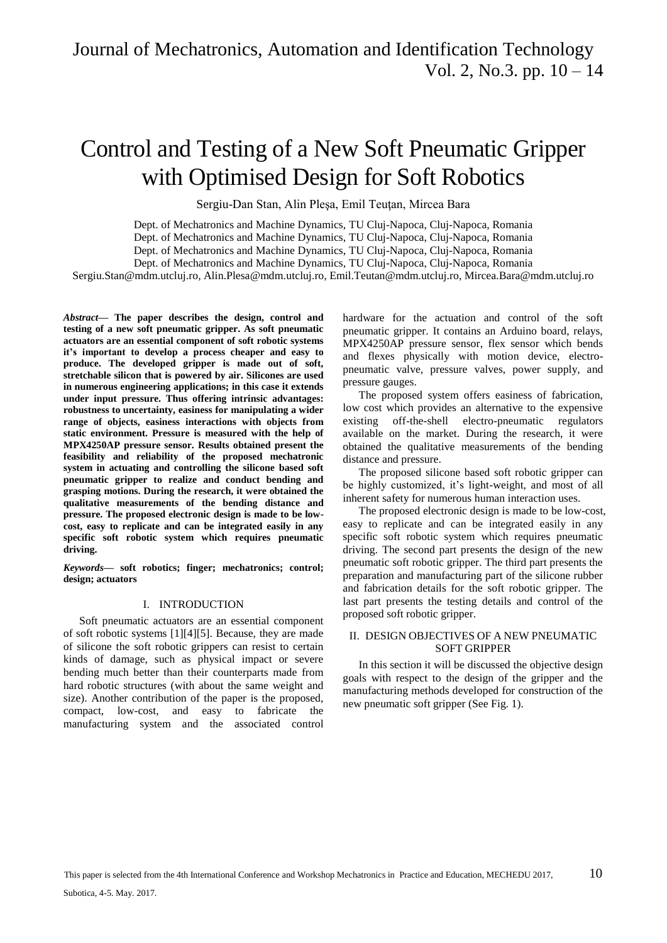# Control and Testing of a New Soft Pneumatic Gripper with Optimised Design for Soft Robotics

Sergiu-Dan Stan, Alin Plesa, Emil Teutan, Mircea Bara

Dept. of Mechatronics and Machine Dynamics, TU Cluj-Napoca, Cluj-Napoca, Romania

Dept. of Mechatronics and Machine Dynamics, TU Cluj-Napoca, Cluj-Napoca, Romania

Dept. of Mechatronics and Machine Dynamics, TU Cluj-Napoca, Cluj-Napoca, Romania

Dept. of Mechatronics and Machine Dynamics, TU Cluj-Napoca, Cluj-Napoca, Romania

Sergiu.Stan@mdm.utcluj.ro, Alin.Plesa@mdm.utcluj.ro, Emil.Teutan@mdm.utcluj.ro, Mircea.Bara@mdm.utcluj.ro

*Abstract***— The paper describes the design, control and testing of a new soft pneumatic gripper. As soft pneumatic actuators are an essential component of soft robotic systems it's important to develop a process cheaper and easy to produce. The developed gripper is made out of soft, stretchable silicon that is powered by air. Silicones are used in numerous engineering applications; in this case it extends under input pressure. Thus offering intrinsic advantages: robustness to uncertainty, easiness for manipulating a wider range of objects, easiness interactions with objects from static environment. Pressure is measured with the help of MPX4250AP pressure sensor. Results obtained present the feasibility and reliability of the proposed mechatronic system in actuating and controlling the silicone based soft pneumatic gripper to realize and conduct bending and grasping motions. During the research, it were obtained the qualitative measurements of the bending distance and pressure. The proposed electronic design is made to be lowcost, easy to replicate and can be integrated easily in any specific soft robotic system which requires pneumatic driving.**

*Keywords***— soft robotics; finger; mechatronics; control; design; actuators**

# I. INTRODUCTION

Soft pneumatic actuators are an essential component of soft robotic systems [1][4][5]. Because, they are made of silicone the soft robotic grippers can resist to certain kinds of damage, such as physical impact or severe bending much better than their counterparts made from hard robotic structures (with about the same weight and size). Another contribution of the paper is the proposed, compact, low-cost, and easy to fabricate the manufacturing system and the associated control

hardware for the actuation and control of the soft pneumatic gripper. It contains an Arduino board, relays, MPX4250AP pressure sensor, flex sensor which bends and flexes physically with motion device, electropneumatic valve, pressure valves, power supply, and pressure gauges.

The proposed system offers easiness of fabrication, low cost which provides an alternative to the expensive existing off-the-shell electro-pneumatic regulators available on the market. During the research, it were obtained the qualitative measurements of the bending distance and pressure.

The proposed silicone based soft robotic gripper can be highly customized, it's light-weight, and most of all inherent safety for numerous human interaction uses.

The proposed electronic design is made to be low-cost, easy to replicate and can be integrated easily in any specific soft robotic system which requires pneumatic driving. The second part presents the design of the new pneumatic soft robotic gripper. The third part presents the preparation and manufacturing part of the silicone rubber and fabrication details for the soft robotic gripper. The last part presents the testing details and control of the proposed soft robotic gripper.

# II. DESIGN OBJECTIVES OF A NEW PNEUMATIC SOFT GRIPPER

In this section it will be discussed the objective design goals with respect to the design of the gripper and the manufacturing methods developed for construction of the new pneumatic soft gripper (See Fig. 1).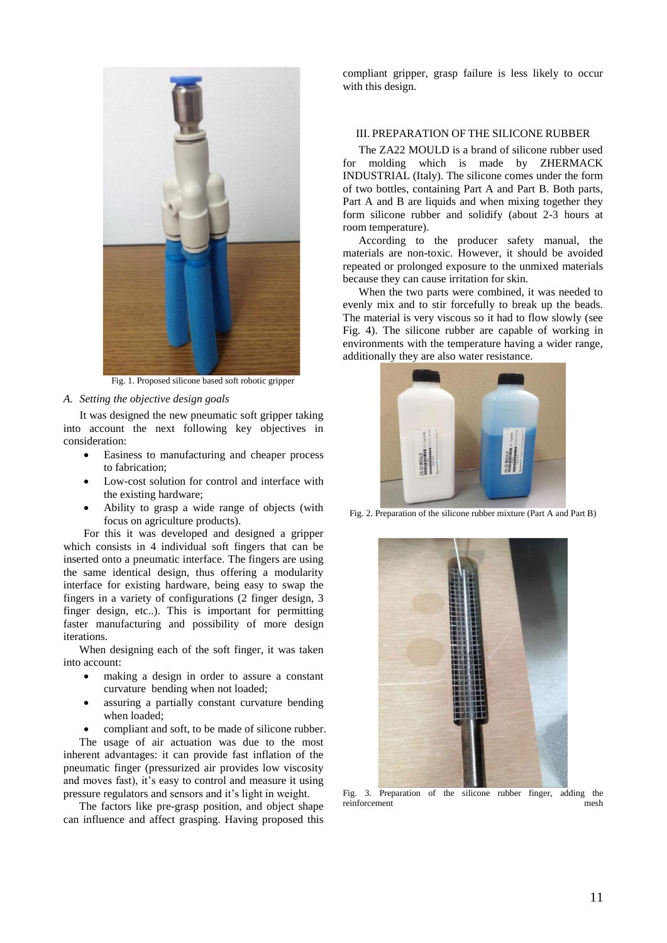

Fig. 1. Proposed silicone based soft robotic gripper

*A. Setting the objective design goals*

It was designed the new pneumatic soft gripper taking into account the next following key objectives in consideration:

- Easiness to manufacturing and cheaper process to fabrication;
- Low-cost solution for control and interface with the existing hardware;
- Ability to grasp a wide range of objects (with focus on agriculture products).

For this it was developed and designed a gripper which consists in 4 individual soft fingers that can be inserted onto a pneumatic interface. The fingers are using the same identical design, thus offering a modularity interface for existing hardware, being easy to swap the fingers in a variety of configurations (2 finger design, 3 finger design, etc..). This is important for permitting faster manufacturing and possibility of more design iterations.

When designing each of the soft finger, it was taken into account:

- making a design in order to assure a constant curvature bending when not loaded;
- assuring a partially constant curvature bending when loaded;

 compliant and soft, to be made of silicone rubber. The usage of air actuation was due to the most inherent advantages: it can provide fast inflation of the pneumatic finger (pressurized air provides low viscosity and moves fast), it's easy to control and measure it using pressure regulators and sensors and it's light in weight.

The factors like pre-grasp position, and object shape can influence and affect grasping. Having proposed this compliant gripper, grasp failure is less likely to occur with this design.

# III. PREPARATION OF THE SILICONE RUBBER

The ZA22 MOULD is a brand of silicone rubber used for molding which is made by ZHERMACK INDUSTRIAL (Italy). The silicone comes under the form of two bottles, containing Part A and Part B. Both parts, Part A and B are liquids and when mixing together they form silicone rubber and solidify (about 2-3 hours at room temperature).

According to the producer safety manual, the materials are non-toxic. However, it should be avoided repeated or prolonged exposure to the unmixed materials because they can cause irritation for skin.

When the two parts were combined, it was needed to evenly mix and to stir forcefully to break up the beads. The material is very viscous so it had to flow slowly (see Fig. 4). The silicone rubber are capable of working in environments with the temperature having a wider range, additionally they are also water resistance.



Fig. 2. Preparation of the silicone rubber mixture (Part A and Part B)



Fig. 3. Preparation of the silicone rubber finger, adding the reinforcement mesh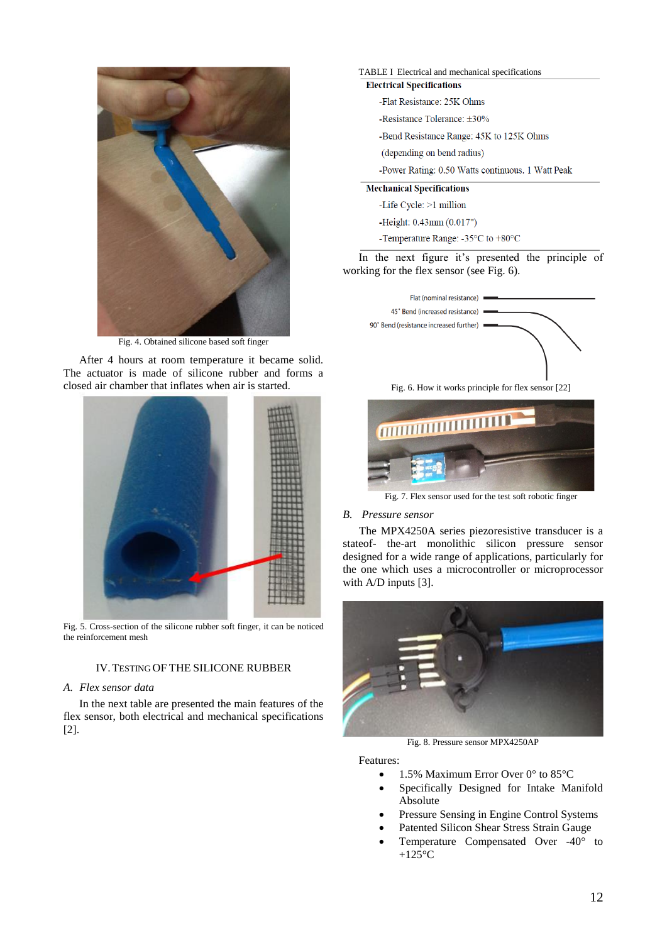

Fig. 4. Obtained silicone based soft finger

After 4 hours at room temperature it became solid. The actuator is made of silicone rubber and forms a closed air chamber that inflates when air is started.



Fig. 5. Cross-section of the silicone rubber soft finger, it can be noticed the reinforcement mesh

# IV.TESTING OF THE SILICONE RUBBER

#### *A. Flex sensor data*

In the next table are presented the main features of the flex sensor, both electrical and mechanical specifications [2].

### TABLE I Electrical and mechanical specifications **Electrical Specifications**

- -Flat Resistance: 25K Ohms
- -Resistance Tolerance: ±30%
- -Bend Resistance Range: 45K to 125K Ohms
- (depending on bend radius)
- -Power Rating: 0.50 Watts continuous. 1 Watt Peak

#### **Mechanical Specifications**

- -Life Cycle: >1 million
- -Height: 0.43mm (0.017")
- -Temperature Range: -35°C to +80°C

In the next figure it's presented the principle of working for the flex sensor (see Fig. 6).



Fig. 6. How it works principle for flex sensor [22]



Fig. 7. Flex sensor used for the test soft robotic finger

#### *B. Pressure sensor*

The MPX4250A series piezoresistive transducer is a stateof- the-art monolithic silicon pressure sensor designed for a wide range of applications, particularly for the one which uses a microcontroller or microprocessor with A/D inputs [3].



Fig. 8. Pressure sensor MPX4250AP

Features:

- $\bullet$  1.5% Maximum Error Over 0° to 85°C
- Specifically Designed for Intake Manifold Absolute
- Pressure Sensing in Engine Control Systems
- Patented Silicon Shear Stress Strain Gauge
- Temperature Compensated Over -40° to  $+125$ °C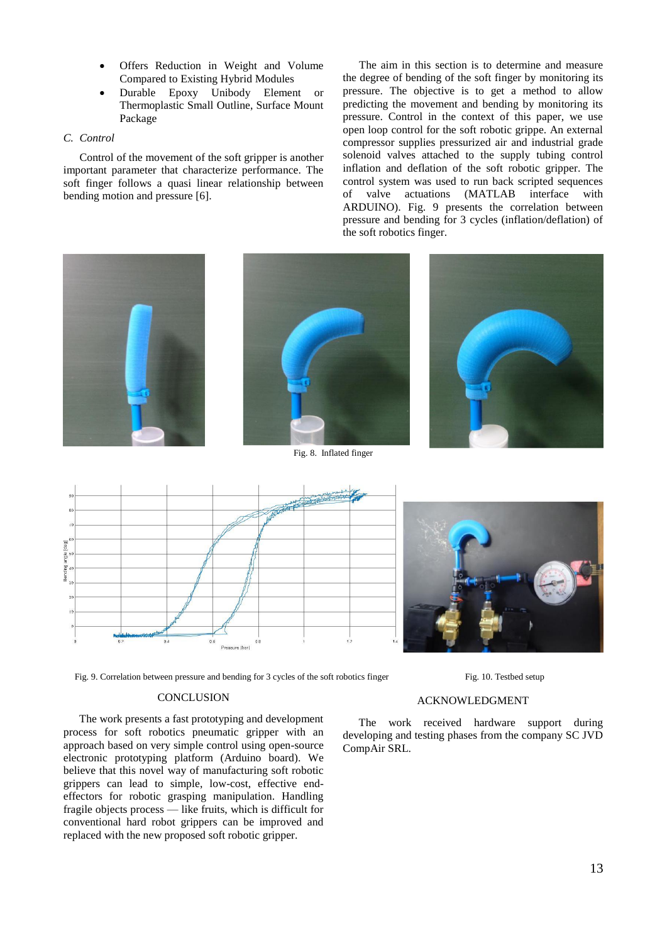- Offers Reduction in Weight and Volume Compared to Existing Hybrid Modules
- Durable Epoxy Unibody Element or Thermoplastic Small Outline, Surface Mount Package

# *C. Control*

Control of the movement of the soft gripper is another important parameter that characterize performance. The soft finger follows a quasi linear relationship between bending motion and pressure [6].

The aim in this section is to determine and measure the degree of bending of the soft finger by monitoring its pressure. The objective is to get a method to allow predicting the movement and bending by monitoring its pressure. Control in the context of this paper, we use open loop control for the soft robotic grippe. An external compressor supplies pressurized air and industrial grade solenoid valves attached to the supply tubing control inflation and deflation of the soft robotic gripper. The control system was used to run back scripted sequences of valve actuations (MATLAB interface with ARDUINO). Fig. 9 presents the correlation between pressure and bending for 3 cycles (inflation/deflation) of the soft robotics finger.







Fig. 9. Correlation between pressure and bending for 3 cycles of the soft robotics finger Fig. 10. Testbed setup

# **CONCLUSION**

The work presents a fast prototyping and development process for soft robotics pneumatic gripper with an approach based on very simple control using open-source electronic prototyping platform (Arduino board). We believe that this novel way of manufacturing soft robotic grippers can lead to simple, low-cost, effective endeffectors for robotic grasping manipulation. Handling fragile objects process — like fruits, which is difficult for conventional hard robot grippers can be improved and replaced with the new proposed soft robotic gripper.

#### ACKNOWLEDGMENT

The work received hardware support during developing and testing phases from the company SC JVD CompAir SRL.